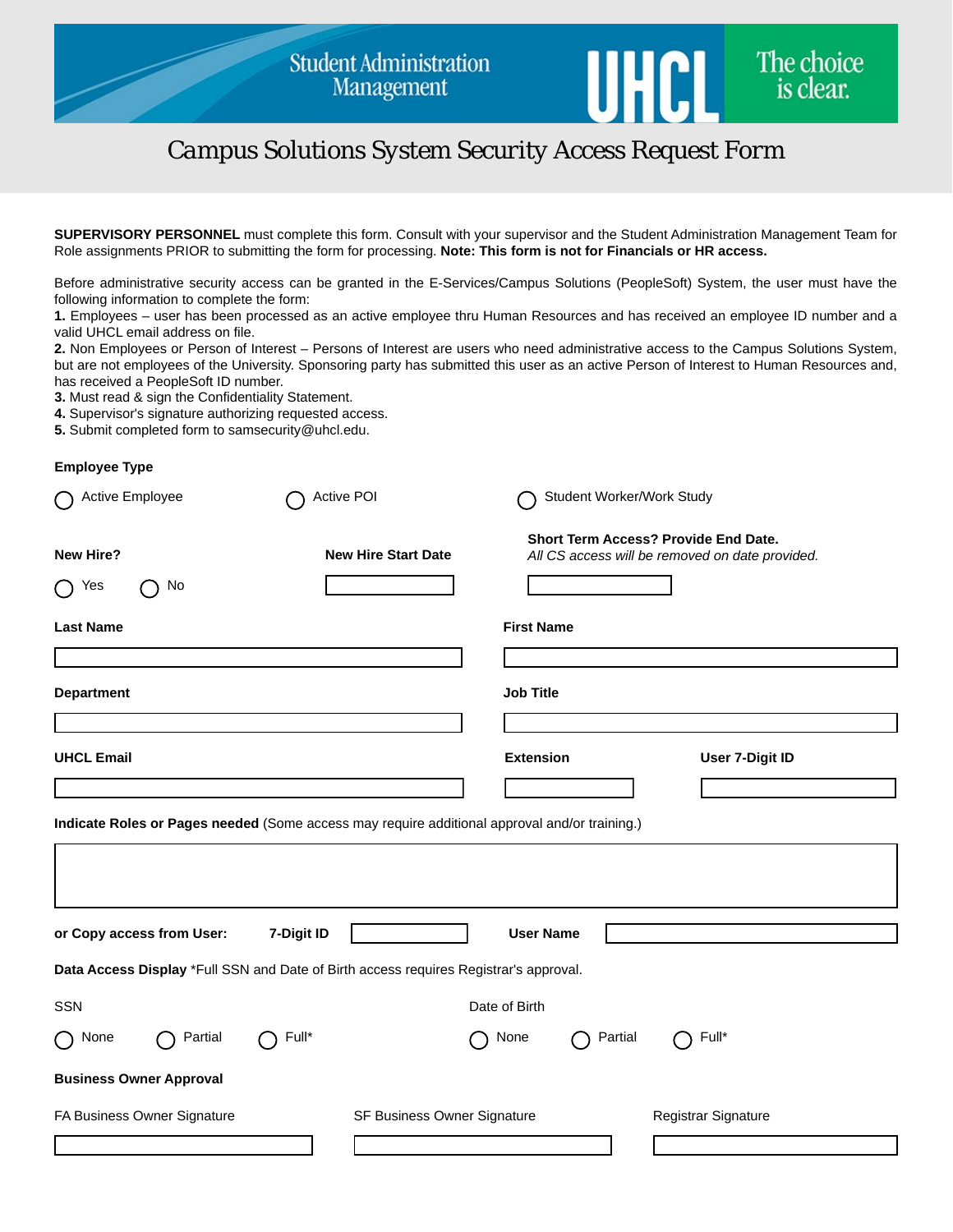# *Campus Solutions System Security Access Request Form*

**SUPERVISORY PERSONNEL** must complete this form. Consult with your supervisor and the Student Administration Management Team for Role assignments PRIOR to submitting the form for processing. **Note: This form is not for Financials or HR access.** 

Before administrative security access can be granted in the E-Services/Campus Solutions (PeopleSoft) System, the user must have the following information to complete the form:

**1.** Employees – user has been processed as an active employee thru Human Resources and has received an employee ID number and a valid UHCL email address on file.

**2.** Non Employees or Person of Interest – Persons of Interest are users who need administrative access to the Campus Solutions System, but are not employees of the University. Sponsoring party has submitted this user as an active Person of Interest to Human Resources and, has received a PeopleSoft ID number.

**3.** Must read & sign the Confidentiality Statement.

**4.** Supervisor's signature authorizing requested access.

**5.** Submit completed form to samsecurity@uhcl.edu.

#### **Employee Type**

| Active Employee                                                                               | Active POI                  | Student Worker/Work Study |                                                                                                |
|-----------------------------------------------------------------------------------------------|-----------------------------|---------------------------|------------------------------------------------------------------------------------------------|
| <b>New Hire?</b><br>No<br>Yes<br>$\Box$                                                       | <b>New Hire Start Date</b>  |                           | <b>Short Term Access? Provide End Date.</b><br>All CS access will be removed on date provided. |
| <b>Last Name</b>                                                                              |                             | <b>First Name</b>         |                                                                                                |
| <b>Department</b>                                                                             |                             | <b>Job Title</b>          |                                                                                                |
| <b>UHCL Email</b>                                                                             |                             | <b>Extension</b>          | User 7-Digit ID                                                                                |
| Indicate Roles or Pages needed (Some access may require additional approval and/or training.) |                             |                           |                                                                                                |
| or Copy access from User:                                                                     | 7-Digit ID                  | <b>User Name</b>          |                                                                                                |
| Data Access Display *Full SSN and Date of Birth access requires Registrar's approval.         |                             |                           |                                                                                                |
| <b>SSN</b>                                                                                    | Date of Birth               |                           |                                                                                                |
| Partial<br>$\bigcap$ None                                                                     | Full*                       | Partial<br>None           | Full*                                                                                          |
| <b>Business Owner Approval</b>                                                                |                             |                           |                                                                                                |
| FA Business Owner Signature                                                                   | SF Business Owner Signature |                           | Registrar Signature                                                                            |